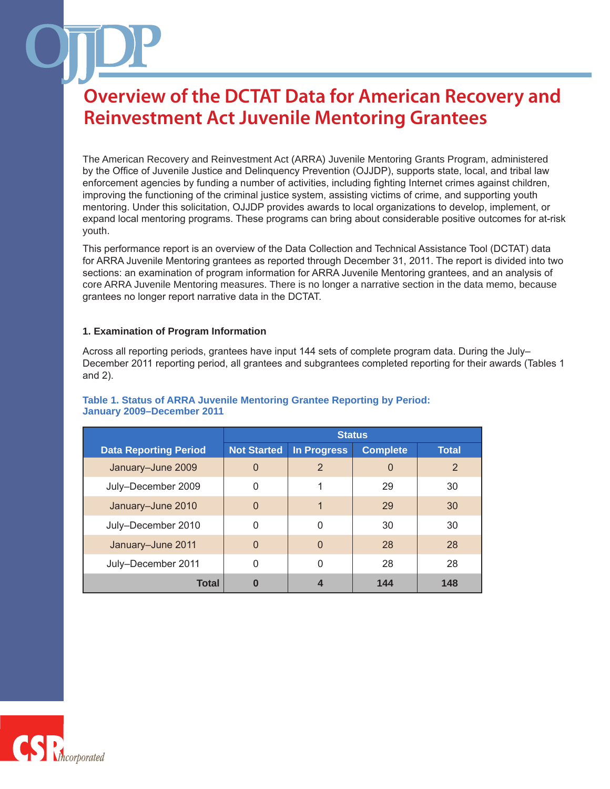The American Recovery and Reinvestment Act (ARRA) Juvenile Mentoring Grants Program, administered by the Office of Juvenile Justice and Delinquency Prevention (OJJDP), supports state, local, and tribal law enforcement agencies by funding a number of activities, including fighting Internet crimes against children, improving the functioning of the criminal justice system, assisting victims of crime, and supporting youth mentoring. Under this solicitation, OJJDP provides awards to local organizations to develop, implement, or expand local mentoring programs. These programs can bring about considerable positive outcomes for at-risk youth.

This performance report is an overview of the Data Collection and Technical Assistance Tool (DCTAT) data for ARRA Juvenile Mentoring grantees as reported through December 31, 2011. The report is divided into two sections: an examination of program information for ARRA Juvenile Mentoring grantees, and an analysis of core ARRA Juvenile Mentoring measures. There is no longer a narrative section in the data memo, because grantees no longer report narrative data in the DCTAT.

#### **1. Examination of Program Information**

Across all reporting periods, grantees have input 144 sets of complete program data. During the July– December 2011 reporting period, all grantees and subgrantees completed reporting for their awards (Tables 1 and 2).

|                              | <b>Status</b>      |                    |                 |              |
|------------------------------|--------------------|--------------------|-----------------|--------------|
| <b>Data Reporting Period</b> | <b>Not Started</b> | <b>In Progress</b> | <b>Complete</b> | <b>Total</b> |
| January-June 2009            | $\overline{0}$     | $\overline{2}$     | 0               | 2            |
| July-December 2009           | 0                  | 1                  | 29              | 30           |
| January-June 2010            | $\overline{0}$     | 1                  | 29              | 30           |
| July-December 2010           | 0                  | 0                  | 30              | 30           |
| January-June 2011            | $\mathbf{0}$       | $\Omega$           | 28              | 28           |
| July-December 2011           | 0                  | $\Omega$           | 28              | 28           |
| Total                        | 0                  | 4                  | 144             | 148          |

#### **Table 1. Status of ARRA Juvenile Mentoring Grantee Reporting by Period: January 2009–December 2011**

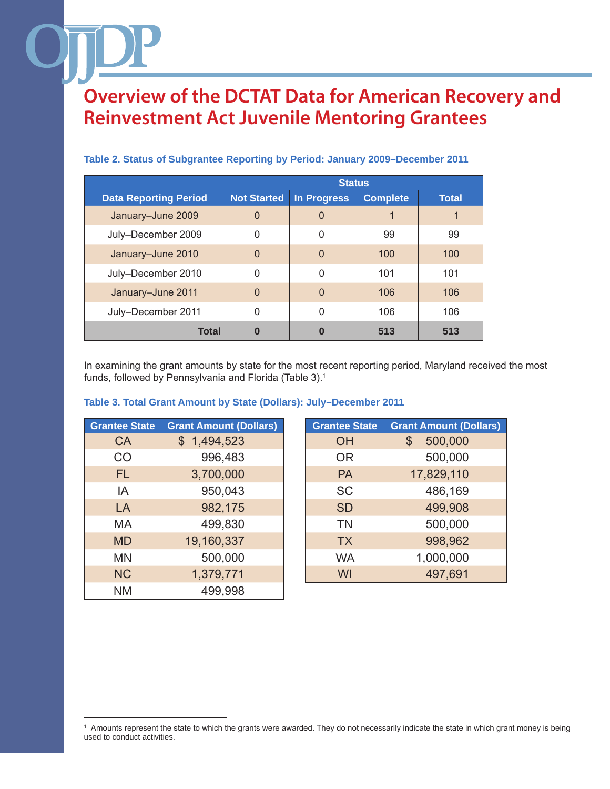|                              | <b>Status</b>      |                    |                 |              |
|------------------------------|--------------------|--------------------|-----------------|--------------|
| <b>Data Reporting Period</b> | <b>Not Started</b> | <b>In Progress</b> | <b>Complete</b> | <b>Total</b> |
| January-June 2009            | $\Omega$           | 0                  |                 |              |
| July-December 2009           | 0                  | 0                  | 99              | 99           |
| January-June 2010            | $\overline{0}$     | 0                  | 100             | 100          |
| July-December 2010           | 0                  | 0                  | 101             | 101          |
| January-June 2011            | $\Omega$           | $\Omega$           | 106             | 106          |
| July-December 2011           | $\mathbf 0$        | 0                  | 106             | 106          |
| <b>Total</b>                 | 0                  | 0                  | 513             | 513          |

#### **Table 2. Status of Subgrantee Reporting by Period: January 2009–December 2011**

In examining the grant amounts by state for the most recent reporting period, Maryland received the most funds, followed by Pennsylvania and Florida (Table 3).<sup>1</sup>

| <b>Grantee State</b> | <b>Grant Amount (Dollars)</b> | <b>Grantee State</b> | <b>Grant Amount (D</b> |
|----------------------|-------------------------------|----------------------|------------------------|
| <b>CA</b>            | \$1,494,523                   | OH                   | 500,000<br>\$          |
| CO                   | 996,483                       | <b>OR</b>            | 500,000                |
| FL.                  | 3,700,000                     | <b>PA</b>            | 17,829,110             |
| IA                   | 950,043                       | <b>SC</b>            | 486,169                |
| LA                   | 982,175                       | <b>SD</b>            | 499,908                |
| MA                   | 499,830                       | <b>TN</b>            | 500,000                |
| <b>MD</b>            | 19,160,337                    | <b>TX</b>            | 998,962                |
| <b>MN</b>            | 500,000                       | <b>WA</b>            | 1,000,000              |
| <b>NC</b>            | 1,379,771                     | WI                   | 497,691                |
| <b>NM</b>            | 499,998                       |                      |                        |

#### **Table 3. Total Grant Amount by State (Dollars): July–December 2011**

| <b>Grantee State</b> | <b>Grant Amount (Dollars)</b> | <b>Grantee State</b> | <b>Grant Amount (Dollars)</b> |
|----------------------|-------------------------------|----------------------|-------------------------------|
| <b>CA</b>            | \$1,494,523                   | <b>OH</b>            | 500,000<br>\$                 |
| <b>CO</b>            | 996,483                       | <b>OR</b>            | 500,000                       |
| FL.                  | 3,700,000                     | <b>PA</b>            | 17,829,110                    |
| IA                   | 950,043                       | <b>SC</b>            | 486,169                       |
| LA                   | 982,175                       | <b>SD</b>            | 499,908                       |
| MA                   | 499,830                       | <b>TN</b>            | 500,000                       |
| <b>MD</b>            | 19,160,337                    | <b>TX</b>            | 998,962                       |
| <b>MN</b>            | 500,000                       | <b>WA</b>            | 1,000,000                     |
| <b>NC</b>            | 1,379,771                     | WI                   | 497,691                       |
|                      |                               |                      |                               |

<sup>1</sup> Amounts represent the state to which the grants were awarded. They do not necessarily indicate the state in which grant money is being used to conduct activities.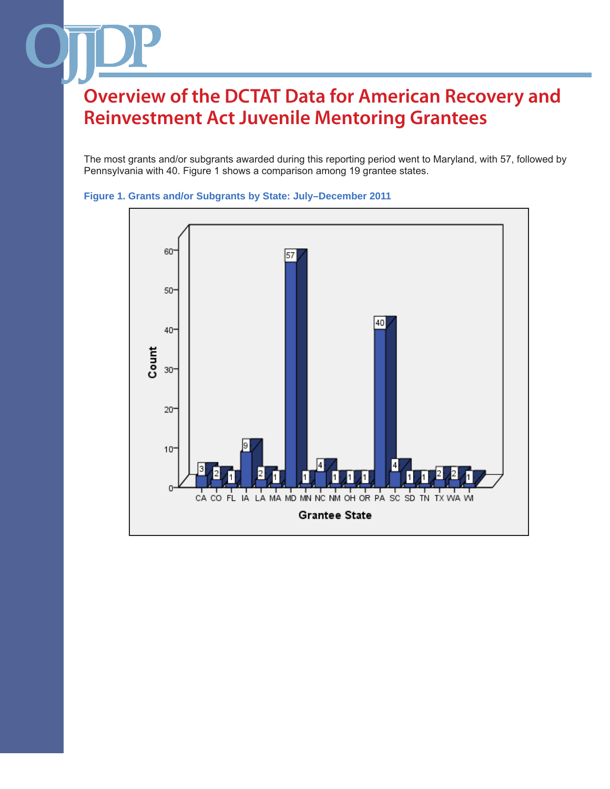The most grants and/or subgrants awarded during this reporting period went to Maryland, with 57, followed by Pennsylvania with 40. Figure 1 shows a comparison among 19 grantee states.



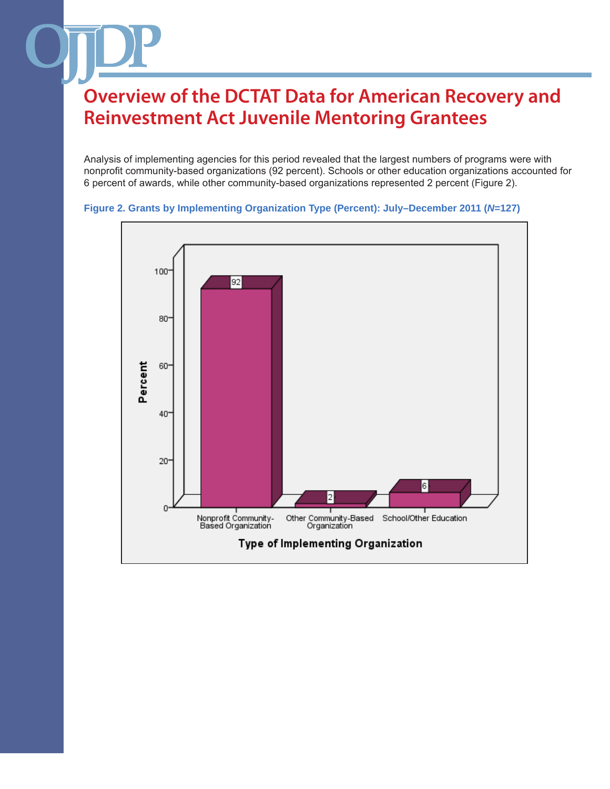Analysis of implementing agencies for this period revealed that the largest numbers of programs were with nonprofit community-based organizations (92 percent). Schools or other education organizations accounted for 6 percent of awards, while other community-based organizations represented 2 percent (Figure 2).

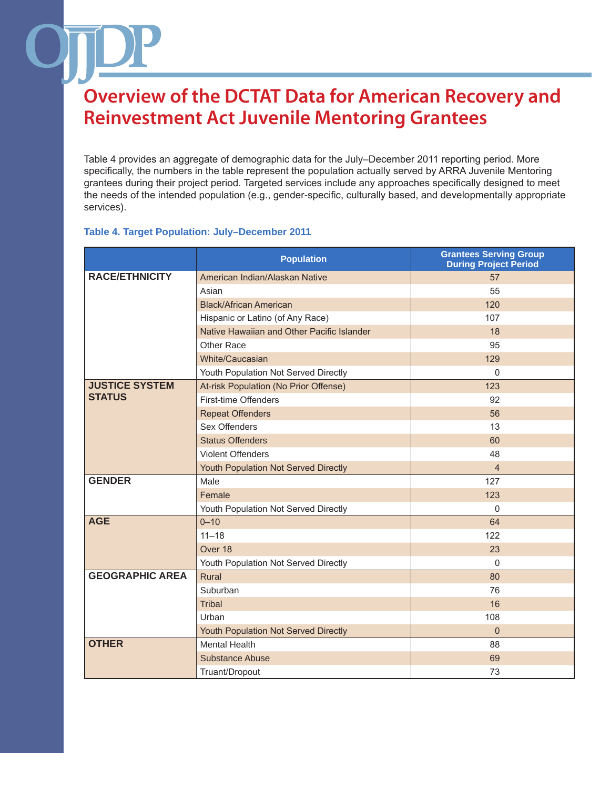Table 4 provides an aggregate of demographic data for the July–December 2011 reporting period. More specifically, the numbers in the table represent the population actually served by ARRA Juvenile Mentoring grantees during their project period. Targeted services include any approaches specifically designed to meet the needs of the intended population (e.g., gender-specific, culturally based, and developmentally appropriate services).

#### **Table 4. Target Population: July–December 2011**

|                        | <b>Population</b>                          | <b>Grantees Serving Group</b><br><b>During Project Period</b> |
|------------------------|--------------------------------------------|---------------------------------------------------------------|
| <b>RACE/ETHNICITY</b>  | American Indian/Alaskan Native             | 57                                                            |
|                        | Asian                                      | 55                                                            |
|                        | <b>Black/African American</b>              | 120                                                           |
|                        | Hispanic or Latino (of Any Race)           | 107                                                           |
|                        | Native Hawaiian and Other Pacific Islander | 18                                                            |
|                        | Other Race                                 | 95                                                            |
|                        | White/Caucasian                            | 129                                                           |
|                        | Youth Population Not Served Directly       | $\Omega$                                                      |
| <b>JUSTICE SYSTEM</b>  | At-risk Population (No Prior Offense)      | 123                                                           |
| <b>STATUS</b>          | First-time Offenders                       | 92                                                            |
|                        | <b>Repeat Offenders</b>                    | 56                                                            |
|                        | Sex Offenders                              | 13                                                            |
|                        | <b>Status Offenders</b>                    | 60                                                            |
|                        | <b>Violent Offenders</b>                   | 48                                                            |
|                        | Youth Population Not Served Directly       | $\overline{4}$                                                |
| <b>GENDER</b>          | Male                                       | 127                                                           |
|                        | Female                                     | 123                                                           |
|                        | Youth Population Not Served Directly       | $\mathbf{0}$                                                  |
| <b>AGE</b>             | $0 - 10$                                   | 64                                                            |
|                        | $11 - 18$                                  | 122                                                           |
|                        | Over 18                                    | 23                                                            |
|                        | Youth Population Not Served Directly       | $\Omega$                                                      |
| <b>GEOGRAPHIC AREA</b> | Rural                                      | 80                                                            |
|                        | Suburban                                   | 76                                                            |
|                        | <b>Tribal</b>                              | 16                                                            |
|                        | Urban                                      | 108                                                           |
|                        | Youth Population Not Served Directly       | $\mathbf{0}$                                                  |
| <b>OTHER</b>           | <b>Mental Health</b>                       | 88                                                            |
|                        | <b>Substance Abuse</b>                     | 69                                                            |
|                        | Truant/Dropout                             | 73                                                            |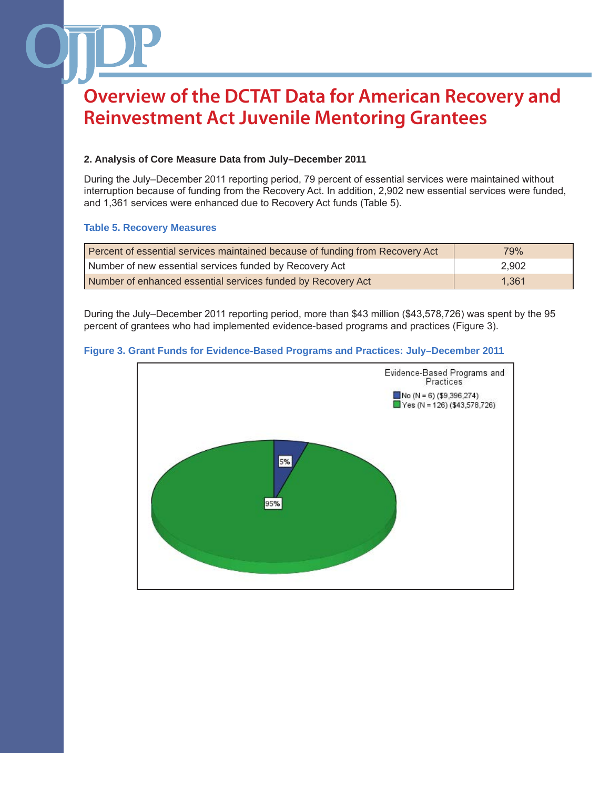### **2. Analysis of Core Measure Data from July–December 2011**

During the July–December 2011 reporting period, 79 percent of essential services were maintained without interruption because of funding from the Recovery Act. In addition, 2,902 new essential services were funded, and 1,361 services were enhanced due to Recovery Act funds (Table 5).

#### **Table 5. Recovery Measures**

| Percent of essential services maintained because of funding from Recovery Act | 79%   |
|-------------------------------------------------------------------------------|-------|
| Number of new essential services funded by Recovery Act                       | 2.902 |
| Number of enhanced essential services funded by Recovery Act                  | 1.361 |

During the July–December 2011 reporting period, more than \$43 million (\$43,578,726) was spent by the 95 percent of grantees who had implemented evidence-based programs and practices (Figure 3).

#### **Figure 3. Grant Funds for Evidence-Based Programs and Practices: July–December 2011**

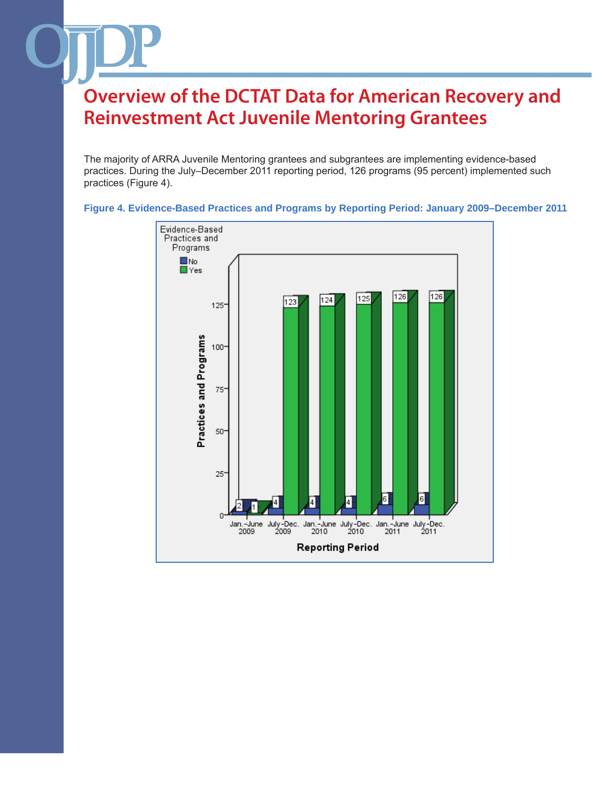The majority of ARRA Juvenile Mentoring grantees and subgrantees are implementing evidence-based practices. During the July–December 2011 reporting period, 126 programs (95 percent) implemented such practices (Figure 4).

![](_page_6_Figure_2.jpeg)

**Figure 4. Evidence-Based Practices and Programs by Reporting Period: January 2009–December 2011**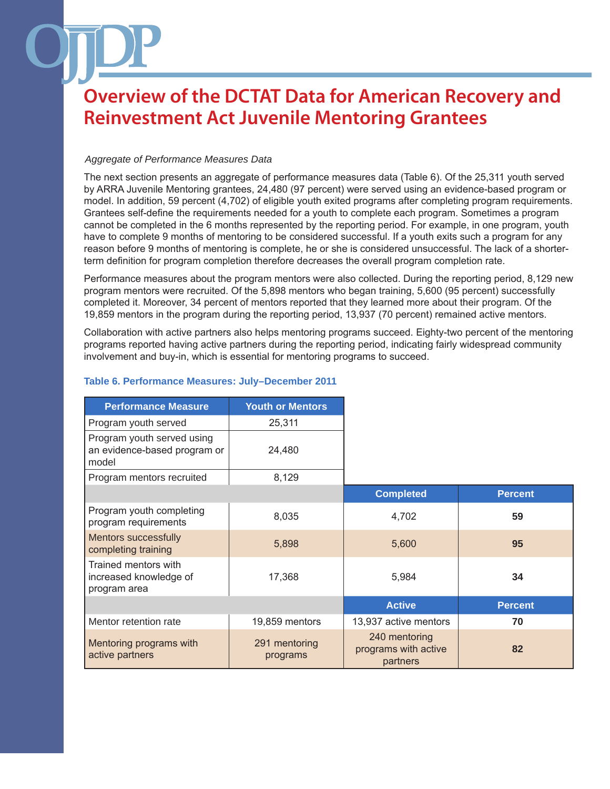#### *Aggregate of Performance Measures Data*

The next section presents an aggregate of performance measures data (Table 6). Of the 25,311 youth served by ARRA Juvenile Mentoring grantees, 24,480 (97 percent) were served using an evidence-based program or model. In addition, 59 percent (4,702) of eligible youth exited programs after completing program requirements. Grantees self-define the requirements needed for a youth to complete each program. Sometimes a program cannot be completed in the 6 months represented by the reporting period. For example, in one program, youth have to complete 9 months of mentoring to be considered successful. If a youth exits such a program for any reason before 9 months of mentoring is complete, he or she is considered unsuccessful. The lack of a shorterterm definition for program completion therefore decreases the overall program completion rate.

Performance measures about the program mentors were also collected. During the reporting period, 8,129 new program mentors were recruited. Of the 5,898 mentors who began training, 5,600 (95 percent) successfully completed it. Moreover, 34 percent of mentors reported that they learned more about their program. Of the 19,859 mentors in the program during the reporting period, 13,937 (70 percent) remained active mentors.

Collaboration with active partners also helps mentoring programs succeed. Eighty-two percent of the mentoring programs reported having active partners during the reporting period, indicating fairly widespread community involvement and buy-in, which is essential for mentoring programs to succeed.

| <b>Performance Measure</b>                                          | <b>Youth or Mentors</b>   |                                                   |                |
|---------------------------------------------------------------------|---------------------------|---------------------------------------------------|----------------|
| Program youth served                                                | 25,311                    |                                                   |                |
| Program youth served using<br>an evidence-based program or<br>model | 24,480                    |                                                   |                |
| Program mentors recruited                                           | 8,129                     |                                                   |                |
|                                                                     |                           | <b>Completed</b>                                  | <b>Percent</b> |
| Program youth completing<br>program requirements                    | 8,035                     | 4,702                                             | 59             |
| <b>Mentors successfully</b><br>completing training                  | 5,898                     | 5,600                                             | 95             |
| Trained mentors with<br>increased knowledge of<br>program area      | 17,368                    | 5,984                                             | 34             |
|                                                                     |                           | <b>Active</b>                                     | <b>Percent</b> |
| Mentor retention rate                                               | 19,859 mentors            | 13,937 active mentors                             | 70             |
| Mentoring programs with<br>active partners                          | 291 mentoring<br>programs | 240 mentoring<br>programs with active<br>partners | 82             |

### **Table 6. Performance Measures: July–December 2011**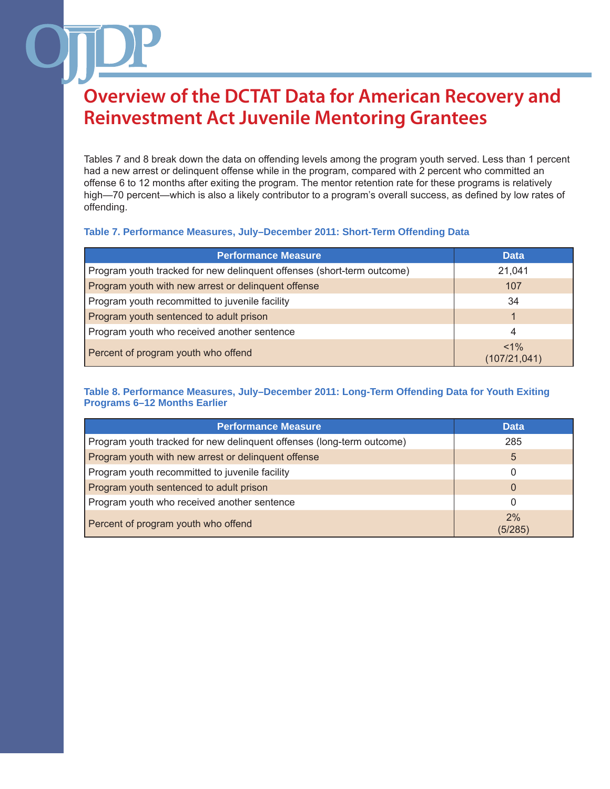Tables 7 and 8 break down the data on offending levels among the program youth served. Less than 1 percent had a new arrest or delinquent offense while in the program, compared with 2 percent who committed an offense 6 to 12 months after exiting the program. The mentor retention rate for these programs is relatively high—70 percent—which is also a likely contributor to a program's overall success, as defined by low rates of offending.

#### **Table 7. Performance Measures, July–December 2011: Short-Term Offending Data**

| <b>Performance Measure</b>                                             | <b>Data</b>             |
|------------------------------------------------------------------------|-------------------------|
| Program youth tracked for new delinquent offenses (short-term outcome) | 21,041                  |
| Program youth with new arrest or delinguent offense                    | 107                     |
| Program youth recommitted to juvenile facility                         | 34                      |
| Program youth sentenced to adult prison                                |                         |
| Program youth who received another sentence                            | 4                       |
| Percent of program youth who offend                                    | $< 1\%$<br>(107/21,041) |

#### **Table 8. Performance Measures, July–December 2011: Long-Term Offending Data for Youth Exiting Programs 6–12 Months Earlier**

| <b>Performance Measure</b>                                            | <b>Data</b>   |
|-----------------------------------------------------------------------|---------------|
| Program youth tracked for new delinquent offenses (long-term outcome) | 285           |
| Program youth with new arrest or delinquent offense                   | 5             |
| Program youth recommitted to juvenile facility                        |               |
| Program youth sentenced to adult prison                               | 0             |
| Program youth who received another sentence                           |               |
| Percent of program youth who offend                                   | 2%<br>(5/285) |